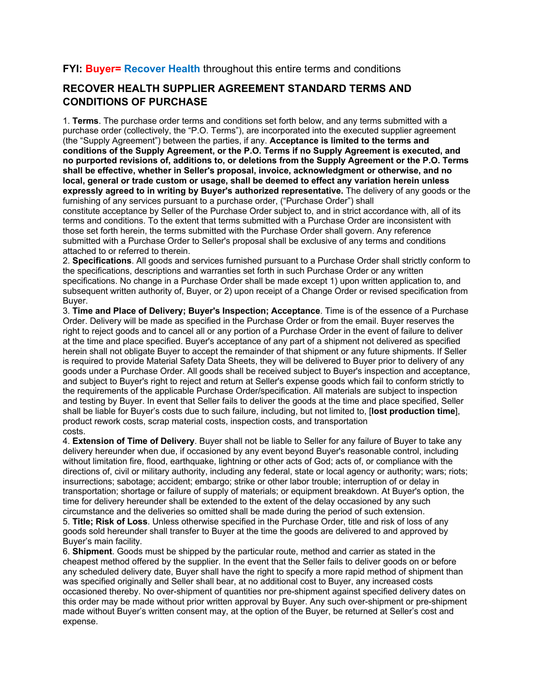## **FYI: Buyer= Recover Health** throughout this entire terms and conditions

## **RECOVER HEALTH SUPPLIER AGREEMENT STANDARD TERMS AND CONDITIONS OF PURCHASE**

1. **Terms**. The purchase order terms and conditions set forth below, and any terms submitted with a purchase order (collectively, the "P.O. Terms"), are incorporated into the executed supplier agreement (the "Supply Agreement") between the parties, if any. **Acceptance is limited to the terms and conditions of the Supply Agreement, or the P.O. Terms if no Supply Agreement is executed, and no purported revisions of, additions to, or deletions from the Supply Agreement or the P.O. Terms shall be effective, whether in Seller's proposal, invoice, acknowledgment or otherwise, and no local, general or trade custom or usage, shall be deemed to effect any variation herein unless expressly agreed to in writing by Buyer's authorized representative.** The delivery of any goods or the furnishing of any services pursuant to a purchase order, ("Purchase Order") shall

constitute acceptance by Seller of the Purchase Order subject to, and in strict accordance with, all of its terms and conditions. To the extent that terms submitted with a Purchase Order are inconsistent with those set forth herein, the terms submitted with the Purchase Order shall govern. Any reference submitted with a Purchase Order to Seller's proposal shall be exclusive of any terms and conditions attached to or referred to therein.

2. **Specifications**. All goods and services furnished pursuant to a Purchase Order shall strictly conform to the specifications, descriptions and warranties set forth in such Purchase Order or any written specifications. No change in a Purchase Order shall be made except 1) upon written application to, and subsequent written authority of, Buyer, or 2) upon receipt of a Change Order or revised specification from Buyer.

3. **Time and Place of Delivery; Buyer's Inspection; Acceptance**. Time is of the essence of a Purchase Order. Delivery will be made as specified in the Purchase Order or from the email. Buyer reserves the right to reject goods and to cancel all or any portion of a Purchase Order in the event of failure to deliver at the time and place specified. Buyer's acceptance of any part of a shipment not delivered as specified herein shall not obligate Buyer to accept the remainder of that shipment or any future shipments. If Seller is required to provide Material Safety Data Sheets, they will be delivered to Buyer prior to delivery of any goods under a Purchase Order. All goods shall be received subject to Buyer's inspection and acceptance, and subject to Buyer's right to reject and return at Seller's expense goods which fail to conform strictly to the requirements of the applicable Purchase Order/specification. All materials are subject to inspection and testing by Buyer. In event that Seller fails to deliver the goods at the time and place specified, Seller shall be liable for Buyer's costs due to such failure, including, but not limited to, [**lost production time**], product rework costs, scrap material costs, inspection costs, and transportation costs.

4. **Extension of Time of Delivery**. Buyer shall not be liable to Seller for any failure of Buyer to take any delivery hereunder when due, if occasioned by any event beyond Buyer's reasonable control, including without limitation fire, flood, earthquake, lightning or other acts of God; acts of, or compliance with the directions of, civil or military authority, including any federal, state or local agency or authority; wars; riots; insurrections; sabotage; accident; embargo; strike or other labor trouble; interruption of or delay in transportation; shortage or failure of supply of materials; or equipment breakdown. At Buyer's option, the time for delivery hereunder shall be extended to the extent of the delay occasioned by any such circumstance and the deliveries so omitted shall be made during the period of such extension.

5. **Title; Risk of Loss**. Unless otherwise specified in the Purchase Order, title and risk of loss of any goods sold hereunder shall transfer to Buyer at the time the goods are delivered to and approved by Buyer's main facility.

6. **Shipment**. Goods must be shipped by the particular route, method and carrier as stated in the cheapest method offered by the supplier. In the event that the Seller fails to deliver goods on or before any scheduled delivery date, Buyer shall have the right to specify a more rapid method of shipment than was specified originally and Seller shall bear, at no additional cost to Buyer, any increased costs occasioned thereby. No over-shipment of quantities nor pre-shipment against specified delivery dates on this order may be made without prior written approval by Buyer. Any such over-shipment or pre-shipment made without Buyer's written consent may, at the option of the Buyer, be returned at Seller's cost and expense.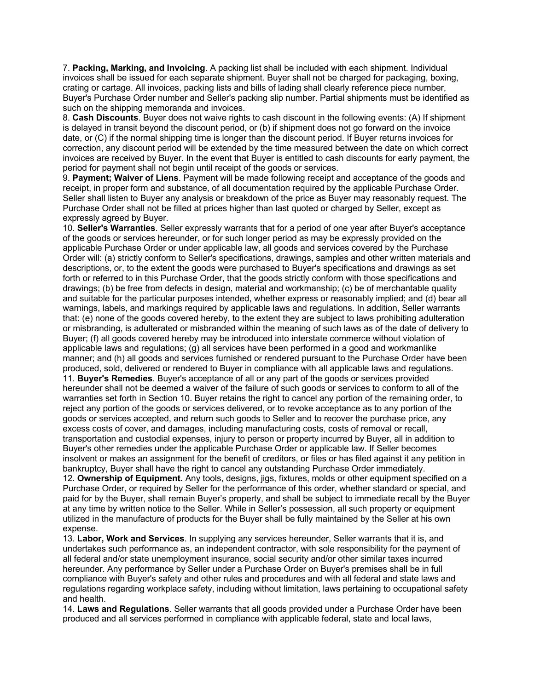7. **Packing, Marking, and Invoicing**. A packing list shall be included with each shipment. Individual invoices shall be issued for each separate shipment. Buyer shall not be charged for packaging, boxing, crating or cartage. All invoices, packing lists and bills of lading shall clearly reference piece number, Buyer's Purchase Order number and Seller's packing slip number. Partial shipments must be identified as such on the shipping memoranda and invoices.

8. **Cash Discounts**. Buyer does not waive rights to cash discount in the following events: (A) If shipment is delayed in transit beyond the discount period, or (b) if shipment does not go forward on the invoice date, or (C) if the normal shipping time is longer than the discount period. If Buyer returns invoices for correction, any discount period will be extended by the time measured between the date on which correct invoices are received by Buyer. In the event that Buyer is entitled to cash discounts for early payment, the period for payment shall not begin until receipt of the goods or services.

9. **Payment; Waiver of Liens**. Payment will be made following receipt and acceptance of the goods and receipt, in proper form and substance, of all documentation required by the applicable Purchase Order. Seller shall listen to Buyer any analysis or breakdown of the price as Buyer may reasonably request. The Purchase Order shall not be filled at prices higher than last quoted or charged by Seller, except as expressly agreed by Buyer.

10. **Seller's Warranties**. Seller expressly warrants that for a period of one year after Buyer's acceptance of the goods or services hereunder, or for such longer period as may be expressly provided on the applicable Purchase Order or under applicable law, all goods and services covered by the Purchase Order will: (a) strictly conform to Seller's specifications, drawings, samples and other written materials and descriptions, or, to the extent the goods were purchased to Buyer's specifications and drawings as set forth or referred to in this Purchase Order, that the goods strictly conform with those specifications and drawings; (b) be free from defects in design, material and workmanship; (c) be of merchantable quality and suitable for the particular purposes intended, whether express or reasonably implied; and (d) bear all warnings, labels, and markings required by applicable laws and regulations. In addition, Seller warrants that: (e) none of the goods covered hereby, to the extent they are subject to laws prohibiting adulteration or misbranding, is adulterated or misbranded within the meaning of such laws as of the date of delivery to Buyer; (f) all goods covered hereby may be introduced into interstate commerce without violation of applicable laws and regulations; (g) all services have been performed in a good and workmanlike manner; and (h) all goods and services furnished or rendered pursuant to the Purchase Order have been produced, sold, delivered or rendered to Buyer in compliance with all applicable laws and regulations. 11. **Buyer's Remedies**. Buyer's acceptance of all or any part of the goods or services provided hereunder shall not be deemed a waiver of the failure of such goods or services to conform to all of the warranties set forth in Section 10. Buyer retains the right to cancel any portion of the remaining order, to

reject any portion of the goods or services delivered, or to revoke acceptance as to any portion of the goods or services accepted, and return such goods to Seller and to recover the purchase price, any excess costs of cover, and damages, including manufacturing costs, costs of removal or recall, transportation and custodial expenses, injury to person or property incurred by Buyer, all in addition to Buyer's other remedies under the applicable Purchase Order or applicable law. If Seller becomes insolvent or makes an assignment for the benefit of creditors, or files or has filed against it any petition in bankruptcy, Buyer shall have the right to cancel any outstanding Purchase Order immediately.

12. **Ownership of Equipment.** Any tools, designs, jigs, fixtures, molds or other equipment specified on a Purchase Order, or required by Seller for the performance of this order, whether standard or special, and paid for by the Buyer, shall remain Buyer's property, and shall be subject to immediate recall by the Buyer at any time by written notice to the Seller. While in Seller's possession, all such property or equipment utilized in the manufacture of products for the Buyer shall be fully maintained by the Seller at his own expense.

13. **Labor, Work and Services**. In supplying any services hereunder, Seller warrants that it is, and undertakes such performance as, an independent contractor, with sole responsibility for the payment of all federal and/or state unemployment insurance, social security and/or other similar taxes incurred hereunder. Any performance by Seller under a Purchase Order on Buyer's premises shall be in full compliance with Buyer's safety and other rules and procedures and with all federal and state laws and regulations regarding workplace safety, including without limitation, laws pertaining to occupational safety and health.

14. **Laws and Regulations**. Seller warrants that all goods provided under a Purchase Order have been produced and all services performed in compliance with applicable federal, state and local laws,